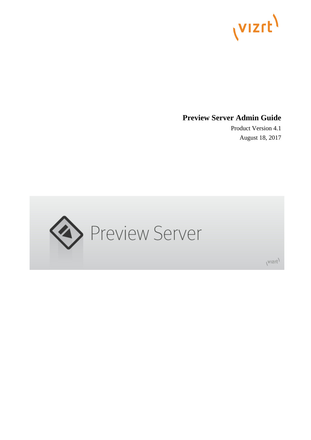

# **Preview Server Admin Guide**

Product Version 4.1 August 18, 2017



(VIZrt)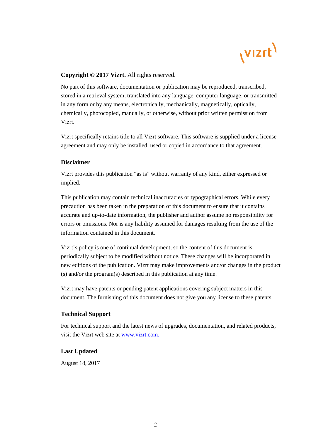

# **Copyright © 2017 Vizrt.** All rights reserved.

No part of this software, documentation or publication may be reproduced, transcribed, stored in a retrieval system, translated into any language, computer language, or transmitted in any form or by any means, electronically, mechanically, magnetically, optically, chemically, photocopied, manually, or otherwise, without prior written permission from Vizrt.

Vizrt specifically retains title to all Vizrt software. This software is supplied under a license agreement and may only be installed, used or copied in accordance to that agreement.

# **Disclaimer**

Vizrt provides this publication "as is" without warranty of any kind, either expressed or implied.

This publication may contain technical inaccuracies or typographical errors. While every precaution has been taken in the preparation of this document to ensure that it contains accurate and up-to-date information, the publisher and author assume no responsibility for errors or omissions. Nor is any liability assumed for damages resulting from the use of the information contained in this document.

Vizrt's policy is one of continual development, so the content of this document is periodically subject to be modified without notice. These changes will be incorporated in new editions of the publication. Vizrt may make improvements and/or changes in the product (s) and/or the program(s) described in this publication at any time.

Vizrt may have patents or pending patent applications covering subject matters in this document. The furnishing of this document does not give you any license to these patents.

### **Technical Support**

For technical support and the latest news of upgrades, documentation, and related products, visit the Vizrt web site at [www.vizrt.com.](http://www.vizrt.com)

# **Last Updated**

August 18, 2017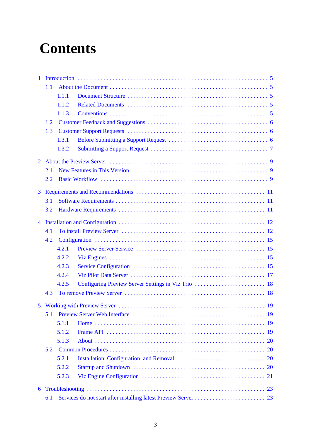# **Contents**

| 1              |     |       |           |  |  |  |  |  |  |
|----------------|-----|-------|-----------|--|--|--|--|--|--|
|                | 1.1 |       |           |  |  |  |  |  |  |
|                |     | 1.1.1 |           |  |  |  |  |  |  |
|                |     | 1.1.2 |           |  |  |  |  |  |  |
|                |     | 1.1.3 |           |  |  |  |  |  |  |
|                | 1.2 |       |           |  |  |  |  |  |  |
|                | 1.3 |       |           |  |  |  |  |  |  |
|                |     | 1.3.1 |           |  |  |  |  |  |  |
|                |     | 1.3.2 |           |  |  |  |  |  |  |
| $\overline{2}$ |     |       |           |  |  |  |  |  |  |
|                | 2.1 |       |           |  |  |  |  |  |  |
|                | 2.2 |       |           |  |  |  |  |  |  |
| $\overline{3}$ |     |       |           |  |  |  |  |  |  |
|                | 3.1 |       |           |  |  |  |  |  |  |
|                | 3.2 |       |           |  |  |  |  |  |  |
| $\overline{4}$ |     |       |           |  |  |  |  |  |  |
|                | 4.1 |       |           |  |  |  |  |  |  |
|                | 4.2 |       |           |  |  |  |  |  |  |
|                |     | 4.2.1 |           |  |  |  |  |  |  |
|                |     | 4.2.2 |           |  |  |  |  |  |  |
|                |     | 4.2.3 |           |  |  |  |  |  |  |
|                |     | 4.2.4 |           |  |  |  |  |  |  |
|                |     | 4.2.5 |           |  |  |  |  |  |  |
|                | 4.3 |       |           |  |  |  |  |  |  |
| 5 <sup>5</sup> |     |       |           |  |  |  |  |  |  |
|                | 5.1 |       |           |  |  |  |  |  |  |
|                |     | 5.1.1 | <b>19</b> |  |  |  |  |  |  |
|                |     | 5.1.2 | -19       |  |  |  |  |  |  |
|                |     | 5.1.3 | <b>20</b> |  |  |  |  |  |  |
|                | 5.2 |       | <b>20</b> |  |  |  |  |  |  |
|                |     | 5.2.1 |           |  |  |  |  |  |  |
|                |     | 5.2.2 | <b>20</b> |  |  |  |  |  |  |
|                |     | 5.2.3 | 21        |  |  |  |  |  |  |
| 6              | 23  |       |           |  |  |  |  |  |  |
|                | 6.1 |       |           |  |  |  |  |  |  |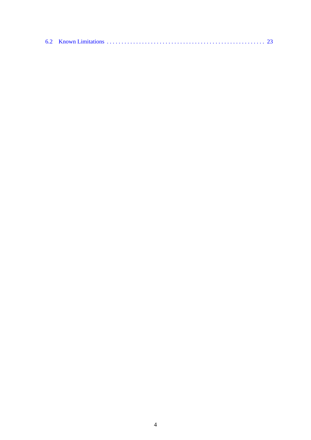|--|--|--|--|--|--|--|--|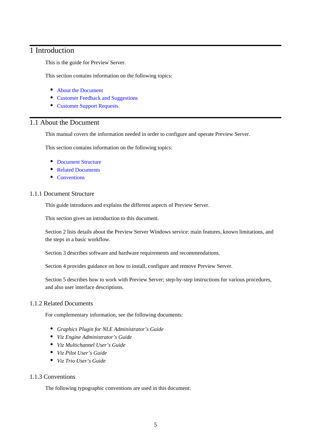# <span id="page-4-0"></span>1 Introduction

This is the guide for Preview Server.

This section contains information on the following topics:

- [About the Document](#page-4-1)
- [Customer Feedback and Suggestions](#page-5-0)
- [Customer Support Requests](#page-5-1)

# <span id="page-4-1"></span>1.1 About the Document

This manual covers the information needed in order to configure and operate Preview Server.

This section contains information on the following topics:

- [Document Structure](#page-4-2)
- [Related Documents](#page-4-3)
- [Conventions](#page-4-4)

### <span id="page-4-2"></span>1.1.1 Document Structure

This guide introduces and explains the different aspects of Preview Server.

This section gives an introduction to this document.

Section 2 lists details about the Preview Server Windows service: main features, known limitations, and the steps in a basic workflow.

Section 3 describes software and hardware requirements and recommendations.

Section 4 provides guidance on how to install, configure and remove Preview Server.

Section 5 describes how to work with Preview Server; step-by-step instructions for various procedures, and also user interface descriptions.

#### <span id="page-4-3"></span>1.1.2 Related Documents

For complementary information, see the following documents:

- *Graphics Plugin for NLE Administrator's Guide*
- *Viz Engine Administrator's Guide*
- *Viz Multichannel User's Guide*
- *Viz Pilot User's Guide*
- *Viz Trio User's Guide*

#### <span id="page-4-4"></span>1.1.3 Conventions

The following typographic conventions are used in this document: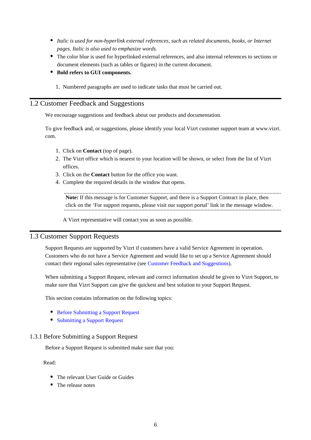- *Italic is used for non-hyperlink external references, such as related documents, books, or Internet pages. Italic is also used to emphasize words.*
- The color blue is used for hyperlinked external references, and also internal references to sections or document elements (such as tables or figures) in the current document.
- **Bold refers to GUI components.**
	- 1. Numbered paragraphs are used to indicate tasks that must be carried out.

# <span id="page-5-0"></span>1.2 Customer Feedback and Suggestions

We encourage suggestions and feedback about our products and documentation.

To give feedback and, or suggestions, please identify your local Vizrt customer support team at www.vizrt. com.

- 1. Click on **Contact** (top of page).
- 2. The Vizrt office which is nearest to your location will be shown, or select from the list of Vizrt offices.
- 3. Click on the **Contact** button for the office you want.
- 4. Complete the required details in the window that opens.

**Note:** If this message is for Customer Support, and there is a Support Contract in place, then click on the 'For support requests, please visit our support portal' link in the message window. ............................................................................................................................................................................................................................................................................................................................................

A Vizrt representative will contact you as soon as possible.

### <span id="page-5-1"></span>1.3 Customer Support Requests

Support Requests are supported by Vizrt if customers have a valid Service Agreement in operation. Customers who do not have a Service Agreement and would like to set up a Service Agreement should contact their regional sales representative (see [Customer Feedback and Suggestions\)](#page-5-0).

When submitting a Support Request, relevant and correct information should be given to Vizrt Support, to make sure that Vizrt Support can give the quickest and best solution to your Support Request.

This section contains information on the following topics:

- [Before Submitting a Support Request](#page-5-2)
- [Submitting a Support Request](#page-6-0)

#### <span id="page-5-2"></span>1.3.1 Before Submitting a Support Request

Before a Support Request is submitted make sure that you:

Read:

- The relevant User Guide or Guides
- The release notes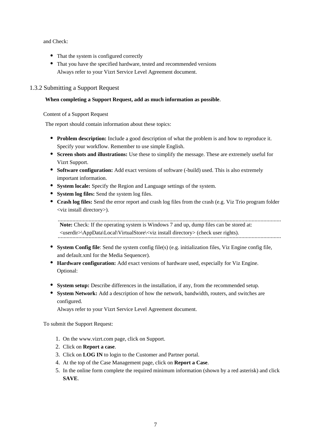and Check:

- That the system is configured correctly
- That you have the specified hardware, tested and recommended versions Always refer to your Vizrt Service Level Agreement document.

### <span id="page-6-1"></span><span id="page-6-0"></span>1.3.2 Submitting a Support Request

#### **When completing a Support Request, add as much information as possible**.

Content of a Support Request

The report should contain information about these topics:

- **Problem description:** Include a good description of what the problem is and how to reproduce it. Specify your workflow. Remember to use simple English.
- **Screen shots and illustrations:** Use these to simplify the message. These are extremely useful for Vizrt Support.
- **Software configuration:** Add exact versions of software (-build) used. This is also extremely important information.
- **System locale:** Specify the Region and Language settings of the system.
- **System log files:** Send the system log files.
- **Crash log files:** Send the error report and crash log files from the crash (e.g. Viz Trio program folder <viz install directory>).

**Note:** Check: If the operating system is Windows 7 and up, dump files can be stored at: ......................................................................................................................................................................

- <userdir>\AppData\Local\VirtualStore\<viz install directory> (check user rights).
- **System Config file**: Send the system config file(s) (e.g. initialization files, Viz Engine config file, and default.xml for the Media Sequencer).
- **Hardware configuration:** Add exact versions of hardware used, especially for Viz Engine. Optional:
- **System setup:** Describe differences in the installation, if any, from the recommended setup.
- **System Network:** Add a description of how the network, bandwidth, routers, and switches are configured.

Always refer to your Vizrt Service Level Agreement document.

To submit the Support Request:

- 1. On the www.vizrt.com page, click on Support.
- 2. Click on **Report a case**.
- 3. Click on **LOG IN** to login to the Customer and Partner portal.
- 4. At the top of the Case Management page, click on **Report a Case**.
- 5. In the online form complete the required minimum information (shown by a red asterisk) and click **SAVE**.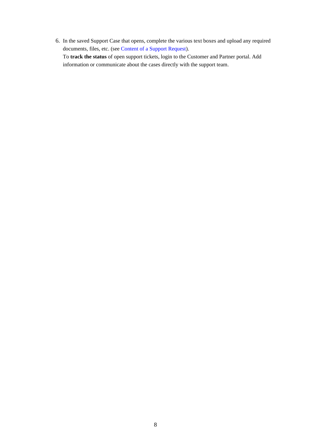6. In the saved Support Case that opens, complete the various text boxes and upload any required documents, files, etc. (see [Content of a Support Request\)](#page-6-1). To **track the status** of open support tickets, login to the Customer and Partner portal. Add

information or communicate about the cases directly with the support team.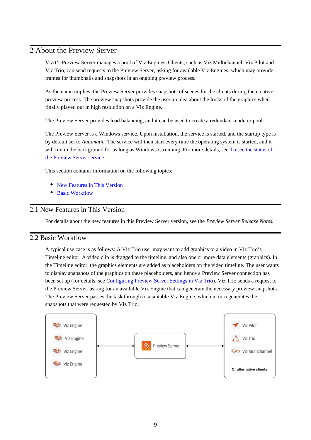# <span id="page-8-0"></span>2 About the Preview Server

Vizrt's Preview Server manages a pool of Viz Engines. Clients, such as Viz Multichannel, Viz Pilot and Viz Trio, can send requests to the Preview Server, asking for available Viz Engines, which may provide frames for thumbnails and snapshots in an ongoing preview process.

As the name implies, the Preview Server provides snapshots of scenes for the clients during the creative preview process. The preview snapshots provide the user an idea about the looks of the graphics when finally played out in high resolution on a Viz Engine.

The Preview Server provides load balancing, and it can be used to create a redundant renderer pool.

The Preview Server is a Windows service. Upon installation, the service is started, and the startup type is by default set to *Automatic*. The service will then start every time the operating system is started, and it will run in the background for as long as Windows is running. For more details, see To see the status of [the Preview Server service](#page-20-1).

This section contains information on the following topics:

- [New Features in This Version](#page-8-1)
- Rasic Workflow

# <span id="page-8-1"></span>2.1 New Features in This Version

For details about the new features in this Preview Server version, see the *Preview Server Release Notes.*

### <span id="page-8-2"></span>2.2 Basic Workflow

A typical use case is as follows: A Viz Trio user may want to add graphics to a video in Viz Trio's Timeline editor. A video clip is dragged to the timeline, and also one or more data elements (graphics). In the Timeline editor, the graphics elements are added as placeholders on the video timeline. The user wants to display snapshots of the graphics on these placeholders, and hence a Preview Server connection has been set up (for details, see [Configuring Preview Server Settings in Viz Trio](#page-17-0)). Viz Trio sends a request to the Preview Server, asking for an available Viz Engine that can generate the necessary preview snapshots. The Preview Server passes the task through to a suitable Viz Engine, which in turn generates the snapshots that were requested by Viz Trio.

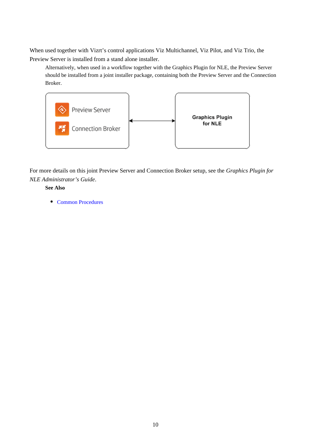When used together with Vizrt's control applications Viz Multichannel, Viz Pilot, and Viz Trio, the Preview Server is installed from a stand alone installer.

Alternatively, when used in a workflow together with the Graphics Plugin for NLE, the Preview Server should be installed from a joint installer package, containing both the Preview Server and the Connection Broker.



For more details on this joint Preview Server and Connection Broker setup, see the *Graphics Plugin for NLE Administrator's Guide*.

**See Also**

• [Common Procedures](#page-19-1)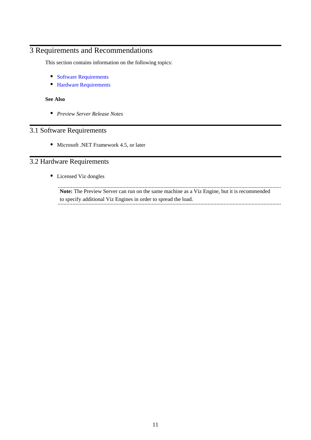# <span id="page-10-0"></span>3 Requirements and Recommendations

This section contains information on the following topics:

- [Software Requirements](#page-10-1)
- [Hardware Requirements](#page-10-2)

#### **See Also**

*Preview Server Release Notes*

# <span id="page-10-1"></span>3.1 Software Requirements

 $\bullet$ Microsoft .NET Framework 4.5, or later

# <span id="page-10-2"></span>3.2 Hardware Requirements

Licensed Viz dongles

**Note:** The Preview Server can run on the same machine as a Viz Engine, but it is recommended to specify additional Viz Engines in order to spread the load. ............................................................................................................................................................................................................................................................................................................................................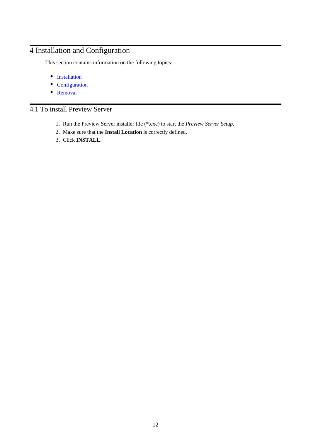# <span id="page-11-0"></span>4 Installation and Configuration

This section contains information on the following topics:

- [Installation](#page-11-1)
- [Configuration](#page-14-0)
- [Removal](#page-17-1)

# <span id="page-11-1"></span>4.1 To install Preview Server

- 1. Run the Preview Server installer file (\*.exe) to start the *Preview Server Setup*.
- 2. Make sure that the **Install Location** is correctly defined.
- 3. Click **INSTALL**.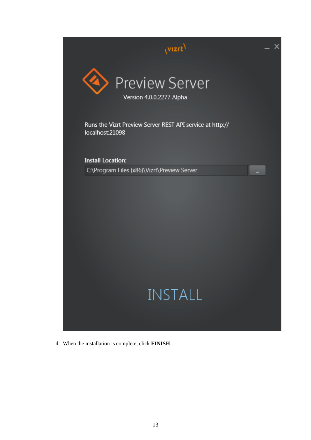

4. When the installation is complete, click **FINISH**.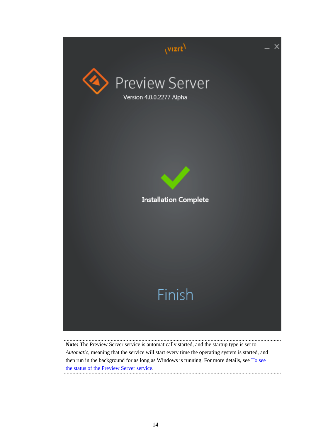

**Note:** The Preview Server service is automatically started, and the startup type is set to *Automatic*, meaning that the service will start every time the operating system is started, and then run in the background for as long as Windows is running. For more details, see [To see](#page-20-1)  [the status of the Preview Server service](#page-20-1). ...................................................................................................................................................................... ......................................................................................................................................................................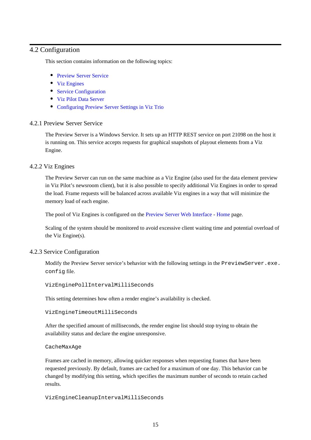# <span id="page-14-0"></span>4.2 Configuration

This section contains information on the following topics:

- **[Preview Server Service](#page-14-1)**
- [Viz Engines](#page-14-2)
- [Service Configuration](#page-14-3)
- [Viz Pilot Data Server](#page-16-0)
- [Configuring Preview Server Settings in Viz Trio](#page-17-0)

#### <span id="page-14-1"></span>4.2.1 Preview Server Service

The Preview Server is a Windows Service. It sets up an HTTP REST service on port 21098 on the host it is running on. This service accepts requests for graphical snapshots of playout elements from a Viz Engine.

#### <span id="page-14-2"></span>4.2.2 Viz Engines

The Preview Server can run on the same machine as a Viz Engine (also used for the data element preview in Viz Pilot's newsroom client), but it is also possible to specify additional Viz Engines in order to spread the load. Frame requests will be balanced across available Viz engines in a way that will minimize the memory load of each engine.

The pool of Viz Engines is configured on the [Preview Server Web Interface](#page-18-1) - [Home](#page-18-2) page.

Scaling of the system should be monitored to avoid excessive client waiting time and potential overload of the Viz Engine(s).

#### <span id="page-14-3"></span>4.2.3 Service Configuration

Modify the Preview Server service's behavior with the following settings in the PreviewServer.exe. config file.

#### VizEnginePollIntervalMilliSeconds

This setting determines how often a render engine's availability is checked.

#### VizEngineTimeoutMilliSeconds

After the specified amount of milliseconds, the render engine list should stop trying to obtain the availability status and declare the engine unresponsive.

#### CacheMaxAge

Frames are cached in memory, allowing quicker responses when requesting frames that have been requested previously. By default, frames are cached for a maximum of one day. This behavior can be changed by modifying this setting, which specifies the maximum number of seconds to retain cached results.

VizEngineCleanupIntervalMilliSeconds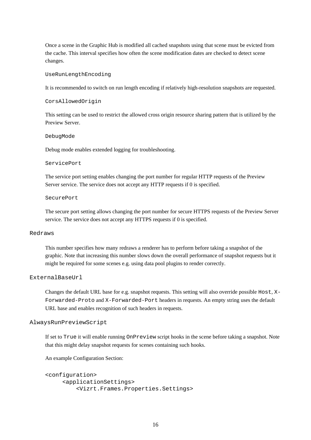Once a scene in the Graphic Hub is modified all cached snapshots using that scene must be evicted from the cache. This interval specifies how often the scene modification dates are checked to detect scene changes.

#### UseRunLengthEncoding

It is recommended to switch on run length encoding if relatively high-resolution snapshots are requested.

#### CorsAllowedOrigin

This setting can be used to restrict the allowed cross origin resource sharing pattern that is utilized by the Preview Server.

#### DebugMode

Debug mode enables extended logging for troubleshooting.

#### ServicePort

The service port setting enables changing the port number for regular HTTP requests of the Preview Server service. The service does not accept any HTTP requests if 0 is specified.

#### SecurePort

The secure port setting allows changing the port number for secure HTTPS requests of the Preview Server service. The service does not accept any HTTPS requests if 0 is specified.

#### Redraws

This number specifies how many redraws a renderer has to perform before taking a snapshot of the graphic. Note that increasing this number slows down the overall performance of snapshot requests but it might be required for some scenes e.g. using data pool plugins to render correctly.

#### ExternalBaseUrl

Changes the default URL base for e.g. snapshot requests. This setting will also override possible Host, X-Forwarded-Proto and X-Forwarded-Port headers in requests. An empty string uses the default URL base and enables recognition of such headers in requests.

#### AlwaysRunPreviewScript

If set to True it will enable running OnPreview script hooks in the scene before taking a snapshot. Note that this might delay snapshot requests for scenes containing such hooks.

An example Configuration Section:

```
<configuration>
      <applicationSettings>
          <Vizrt.Frames.Properties.Settings>
```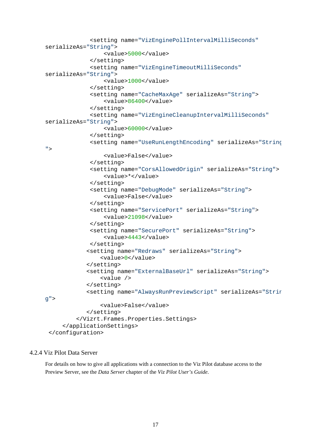```
 <setting name="VizEnginePollIntervalMilliSeconds"
serializeAs="String">
                   <value>5000</value>
               </setting>
               <setting name="VizEngineTimeoutMilliSeconds"
serializeAs="String">
                   <value>1000</value>
               </setting>
               <setting name="CacheMaxAge" serializeAs="String">
                   <value>86400</value>
               </setting>
               <setting name="VizEngineCleanupIntervalMilliSeconds"
serializeAs="String">
                   <value>60000</value>
               </setting>
               <setting name="UseRunLengthEncoding" serializeAs="String
">
                   <value>False</value>
               </setting>
               <setting name="CorsAllowedOrigin" serializeAs="String">
                   <value>*</value>
               </setting>
               <setting name="DebugMode" serializeAs="String">
                   <value>False</value>
               </setting>
               <setting name="ServicePort" serializeAs="String">
                   <value>21098</value>
               </setting>
               <setting name="SecurePort" serializeAs="String">
                   <value>4443</value>
               </setting>
             <setting name="Redraws" serializeAs="String">
                  <value>0</value>
             </setting>
              <setting name="ExternalBaseUrl" serializeAs="String">
                  <value />
             </setting>
             <setting name="AlwaysRunPreviewScript" serializeAs="Strin
g'' <value>False</value>
             </setting>
          </Vizrt.Frames.Properties.Settings>
      </applicationSettings>
  </configuration>
```
#### <span id="page-16-0"></span>4.2.4 Viz Pilot Data Server

For details on how to give all applications with a connection to the Viz Pilot database access to the Preview Server, see the *Data Server* chapter of the *Viz Pilot User's Guide*.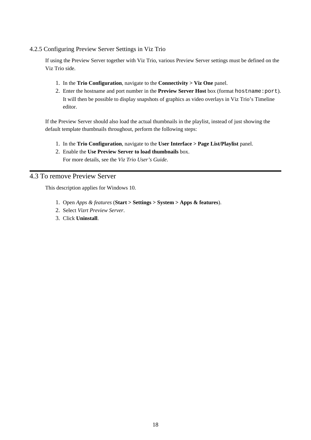## <span id="page-17-0"></span>4.2.5 Configuring Preview Server Settings in Viz Trio

If using the Preview Server together with Viz Trio, various Preview Server settings must be defined on the Viz Trio side.

- 1. In the **Trio Configuration**, navigate to the **Connectivity > Viz One** panel.
- 2. Enter the hostname and port number in the **Preview Server Host** box (format hostname:port). It will then be possible to display snapshots of graphics as video overlays in Viz Trio's Timeline editor.

If the Preview Server should also load the actual thumbnails in the playlist, instead of just showing the default template thumbnails throughout, perform the following steps:

- 1. In the **Trio Configuration**, navigate to the **User Interface > Page List/Playlist** panel.
- 2. Enable the **Use Preview Server to load thumbnails** box. For more details, see the *Viz Trio User's Guide*.

# <span id="page-17-1"></span>4.3 To remove Preview Server

This description applies for Windows 10.

- 1. Open *Apps & features* (**Start > Settings > System > Apps & features**).
- 2. Select *Vizrt Preview Server*.
- 3. Click **Uninstall**.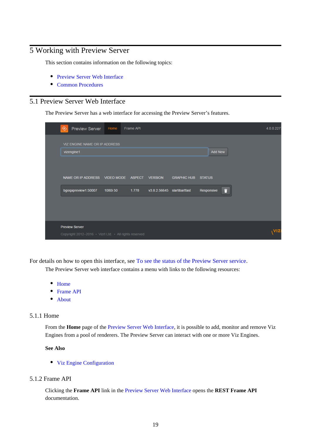# <span id="page-18-0"></span>5 Working with Preview Server

This section contains information on the following topics:

- [Preview Server Web Interface](#page-18-1)
- [Common Procedures](#page-19-1)

# <span id="page-18-1"></span>5.1 Preview Server Web Interface

The Preview Server has a web interface for accessing the Preview Server's features.

| ◈ | <b>Preview Server</b>                                                           | Home     | Frame API |                |                             |                   |   | 4.0.0.227 |
|---|---------------------------------------------------------------------------------|----------|-----------|----------------|-----------------------------|-------------------|---|-----------|
|   | VIZ ENGINE NAME OR IP ADDRESS<br>vizengine1                                     |          |           |                |                             | <b>Add New</b>    |   |           |
|   | NAME OR IP ADDRESS VIDEO MODE ASPECT                                            |          |           | <b>VERSION</b> | <b>GRAPHIC HUB</b>          | <b>STATUS</b>     |   |           |
|   | bgogapreview1:50007                                                             | 1080i 50 | 1.778     |                | v3.8.2.56645 slartibartfast | <b>Responsive</b> | П |           |
|   |                                                                                 |          |           |                |                             |                   |   |           |
|   | <b>Preview Server</b><br>Copyright 2012-2016 · Vizrt Ltd. · All rights reserved |          |           |                |                             |                   |   | VIZ       |

For details on how to open this interface, see [To see the status of the Preview Server service](#page-20-1).

The Preview Server web interface contains a menu with links to the following resources:

- [Home](#page-18-2)
- [Frame API](#page-18-3)
- [About](#page-19-0)

#### <span id="page-18-2"></span>5.1.1 Home

From the **Home** page of the [Preview Server Web Interface](#page-18-1), it is possible to add, monitor and remove Viz Engines from a pool of renderers. The Preview Server can interact with one or more Viz Engines.

#### **See Also**

[Viz Engine Configuration](#page-20-0)

#### <span id="page-18-3"></span>5.1.2 Frame API

Clicking the **Frame API** link in the [Preview Server Web Interface](#page-18-1) opens the **REST Frame API** documentation.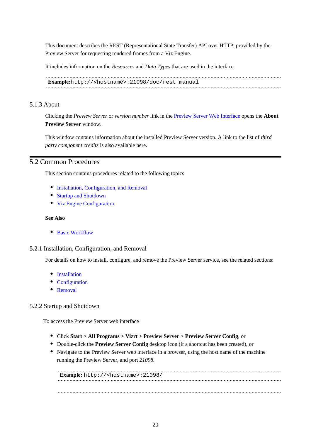This document describes the REST (Representational State Transfer) API over HTTP, provided by the Preview Server for requesting rendered frames from a Viz Engine.

It includes information on the *Resources* and *Data Types* that are used in the interface.

Example:http://<hostname>:21098/doc/rest\_manual ...................................................................................................................................................................... ......................................................................................................................................................................

#### <span id="page-19-0"></span>5.1.3 About

Clicking the *Preview Server* or *version number* link in the [Preview Server Web Interface](#page-18-1) opens the **About Preview Server** window.

This window contains information about the installed Preview Server version. A link to the list of *third party component credits* is also available here.

#### <span id="page-19-1"></span>5.2 Common Procedures

This section contains procedures related to the following topics:

- [Installation, Configuration, and Removal](#page-19-2)
- [Startup and Shutdown](#page-19-3)
- [Viz Engine Configuration](#page-20-0)

#### **See Also**

[Basic Workflow](#page-8-2)

#### <span id="page-19-2"></span>5.2.1 Installation, Configuration, and Removal

For details on how to install, configure, and remove the Preview Server service, see the related sections:

- [Installation](#page-11-1)
- [Configuration](#page-14-0)
- [Removal](#page-17-1)

#### <span id="page-19-3"></span>5.2.2 Startup and Shutdown

To access the Preview Server web interface

- Click **Start > All Programs > Vizrt > Preview Server > Preview Server Config**, or
- Double-click the **Preview Server Config** desktop icon (if a shortcut has been created), or
- Navigate to the Preview Server web interface in a browser, using the host name of the machine running the Preview Server, and port *21098*.

**Example:** http://<hostname>:21098/ ...................................................................................................................................................................... ...................................................................................................................................................................... ......................................................................................................................................................................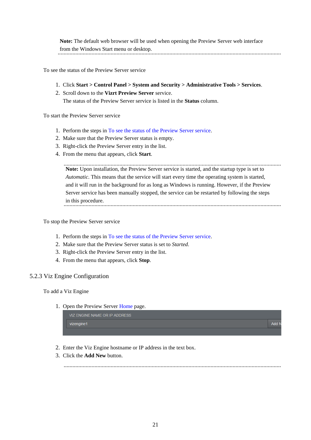**Note:** The default web browser will be used when opening the Preview Server web interface from the Windows Start menu or desktop. ......................................................................................................................................................................

<span id="page-20-1"></span>To see the status of the Preview Server service

- 1. Click **Start > Control Panel > System and Security > Administrative Tools > Services**.
- 2. Scroll down to the **Vizrt Preview Server** service.

The status of the Preview Server service is listed in the **Status** column.

To start the Preview Server service

- 1. Perform the steps in [To see the status of the Preview Server service.](#page-20-1)
- 2. Make sure that the Preview Server status is empty.
- 3. Right-click the Preview Server entry in the list.
- 4. From the menu that appears, click **Start**.

**Note:** Upon installation, the Preview Server service is started, and the startup type is set to *Automatic*. This means that the service will start every time the operating system is started, and it will run in the background for as long as Windows is running. However, if the Preview Server service has been manually stopped, the service can be restarted by following the steps in this procedure. ...................................................................................................................................................................... ......................................................................................................................................................................

To stop the Preview Server service

- 1. Perform the steps in [To see the status of the Preview Server service.](#page-20-1)
- 2. Make sure that the Preview Server status is set to *Started*.
- 3. Right-click the Preview Server entry in the list.
- 4. From the menu that appears, click **Stop**.

#### <span id="page-20-0"></span>5.2.3 Viz Engine Configuration

#### To add a Viz Engine

1. Open the Preview Server Home page.

|  | VIZ ENGINE NAME OR IP ADDRESS |  |  |  |  |  |  |  |
|--|-------------------------------|--|--|--|--|--|--|--|
|  | vizengine1                    |  |  |  |  |  |  |  |
|  |                               |  |  |  |  |  |  |  |

- 2. Enter the Viz Engine hostname or IP address in the text box.
- 3. Click the **Add New** button.

......................................................................................................................................................................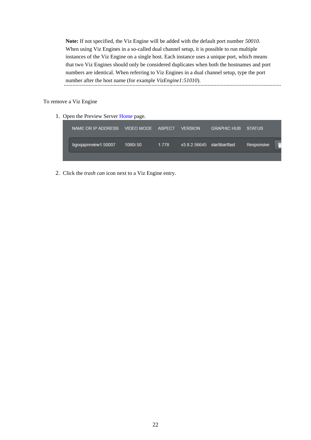**Note:** If not specified, the Viz Engine will be added with the default port number *50010*. When using Viz Engines in a so-called dual channel setup, it is possible to run multiple instances of the Viz Engine on a single host. Each instance uses a unique port, which means that two Viz Engines should only be considered duplicates when both the hostnames and port numbers are identical. When referring to Viz Engines in a dual channel setup, type the port number after the host name (for example *VizEngine1:51010*). ......................................................................................................................................................................

#### To remove a Viz Engine

1. Open the Preview Server Home page.

| NAME OR IP ADDRESS VIDEO MODE ASPECT VERSION |          |       |                             | <b>GRAPHIC HUB STATUS</b> |            |  |
|----------------------------------------------|----------|-------|-----------------------------|---------------------------|------------|--|
| bgogapreview1:50007                          | 1080i 50 | 1.778 | v3.8.2.56645 slartibartfast |                           | Responsive |  |
|                                              |          |       |                             |                           |            |  |

2. Click the *trash can* icon next to a Viz Engine entry.